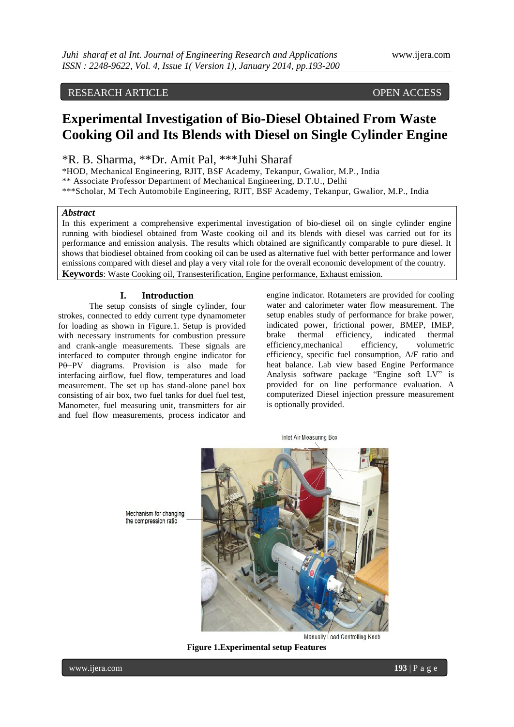# RESEARCH ARTICLE OPEN ACCESS

# **Experimental Investigation of Bio-Diesel Obtained From Waste Cooking Oil and Its Blends with Diesel on Single Cylinder Engine**

\*R. B. Sharma, \*\*Dr. Amit Pal, \*\*\*Juhi Sharaf

\*HOD, Mechanical Engineering, RJIT, BSF Academy, Tekanpur, Gwalior, M.P., India \*\* Associate Professor Department of Mechanical Engineering, D.T.U., Delhi \*\*\*Scholar, M Tech Automobile Engineering, RJIT, BSF Academy, Tekanpur, Gwalior, M.P., India

### *Abstract*

In this experiment a comprehensive experimental investigation of bio-diesel oil on single cylinder engine running with biodiesel obtained from Waste cooking oil and its blends with diesel was carried out for its performance and emission analysis. The results which obtained are significantly comparable to pure diesel. It shows that biodiesel obtained from cooking oil can be used as alternative fuel with better performance and lower emissions compared with diesel and play a very vital role for the overall economic development of the country. **Keywords**: Waste Cooking oil, Transesterification, Engine performance, Exhaust emission.

#### **I. Introduction**

The setup consists of single cylinder, four strokes, connected to eddy current type dynamometer for loading as shown in Figure.1. Setup is provided with necessary instruments for combustion pressure and crank-angle measurements. These signals are interfaced to computer through engine indicator for Pθ−PV diagrams. Provision is also made for interfacing airflow, fuel flow, temperatures and load measurement. The set up has stand-alone panel box consisting of air box, two fuel tanks for duel fuel test, Manometer, fuel measuring unit, transmitters for air and fuel flow measurements, process indicator and

engine indicator. Rotameters are provided for cooling water and calorimeter water flow measurement. The setup enables study of performance for brake power, indicated power, frictional power, BMEP, IMEP, brake thermal efficiency, indicated thermal efficiency,mechanical efficiency, volumetric efficiency, specific fuel consumption, A/F ratio and heat balance. Lab view based Engine Performance Analysis software package "Engine soft LV" is provided for on line performance evaluation. A computerized Diesel injection pressure measurement is optionally provided.

**Inlet Air Measuring Box** 

Mechanism for changing the compression ratio

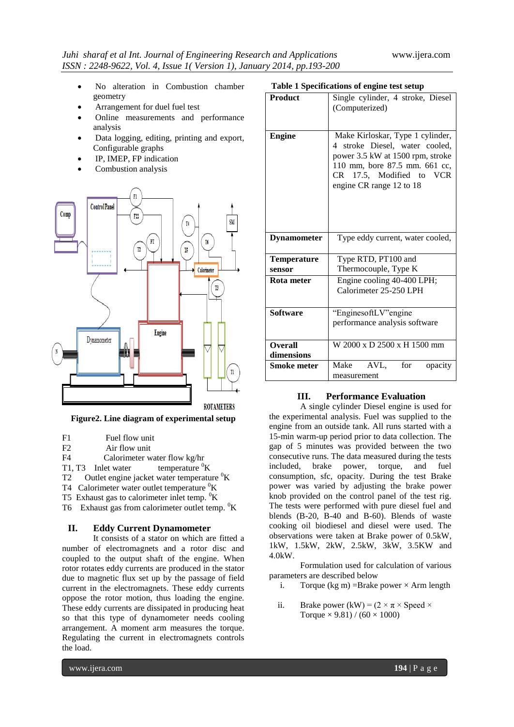- No alteration in Combustion chamber geometry
- Arrangement for duel fuel test
- Online measurements and performance analysis
- Data logging, editing, printing and export, Configurable graphs
- IP, IMEP, FP indication
- Combustion analysis



**Figure2. Line diagram of experimental setup**

- F2 Air flow unit
- F4 Calorimeter water flow kg/hr

T1, T3 Inlet water temperature  ${}^{0}$ K

T2 Outlet engine jacket water temperature  ${}^{0}$ K

T4 Calorimeter water outlet temperature  ${}^{0}$ K

- T5 Exhaust gas to calorimeter inlet temp.  ${}^{0}$ K
- T6 Exhaust gas from calorimeter outlet temp.  ${}^{0}K$

# **II. Eddy Current Dynamometer**

It consists of a stator on which are fitted a number of electromagnets and a rotor disc and coupled to the output shaft of the engine. When rotor rotates eddy currents are produced in the stator due to magnetic flux set up by the passage of field current in the electromagnets. These eddy currents oppose the rotor motion, thus loading the engine. These eddy currents are dissipated in producing heat so that this type of dynamometer needs cooling arrangement. A moment arm measures the torque. Regulating the current in electromagnets controls the load.

# **Table 1 Specifications of engine test setup**

| <b>Product</b>               | Single cylinder, 4 stroke, Diesel<br>(Computerized)                                                                                                                                             |
|------------------------------|-------------------------------------------------------------------------------------------------------------------------------------------------------------------------------------------------|
| Engine                       | Make Kirloskar, Type 1 cylinder,<br>4 stroke Diesel, water cooled,<br>power 3.5 kW at 1500 rpm, stroke<br>110 mm, bore 87.5 mm. 661 cc,<br>CR 17.5, Modified to VCR<br>engine CR range 12 to 18 |
| <b>Dynamometer</b>           | Type eddy current, water cooled,                                                                                                                                                                |
| <b>Temperature</b>           | Type RTD, PT100 and                                                                                                                                                                             |
| sensor                       | Thermocouple, Type K                                                                                                                                                                            |
| Rota meter                   | Engine cooling 40-400 LPH;<br>Calorimeter 25-250 LPH                                                                                                                                            |
| <b>Software</b>              | "EnginesoftLV"engine<br>performance analysis software                                                                                                                                           |
| <b>Overall</b><br>dimensions | W 2000 x D 2500 x H 1500 mm                                                                                                                                                                     |
| <b>Smoke meter</b>           | AVL,<br>Make<br>for<br>opacity<br>measurement                                                                                                                                                   |

# **III. Performance Evaluation**

A single cylinder Diesel engine is used for the experimental analysis. Fuel was supplied to the engine from an outside tank. All runs started with a 15-min warm-up period prior to data collection. The gap of 5 minutes was provided between the two consecutive runs. The data measured during the tests included, brake power, torque, and fuel consumption, sfc, opacity. During the test Brake power was varied by adjusting the brake power knob provided on the control panel of the test rig. The tests were performed with pure diesel fuel and blends (B-20, B-40 and B-60). Blends of waste cooking oil biodiesel and diesel were used. The observations were taken at Brake power of 0.5kW, 1kW, 1.5kW, 2kW, 2.5kW, 3kW, 3.5KW and 4.0kW.

Formulation used for calculation of various parameters are described below

- i. Torque (kg m) = Brake power  $\times$  Arm length
- ii. Brake power (kW) =  $(2 \times \pi \times \text{Speed} \times$ Torque  $\times$  9.81) / (60  $\times$  1000)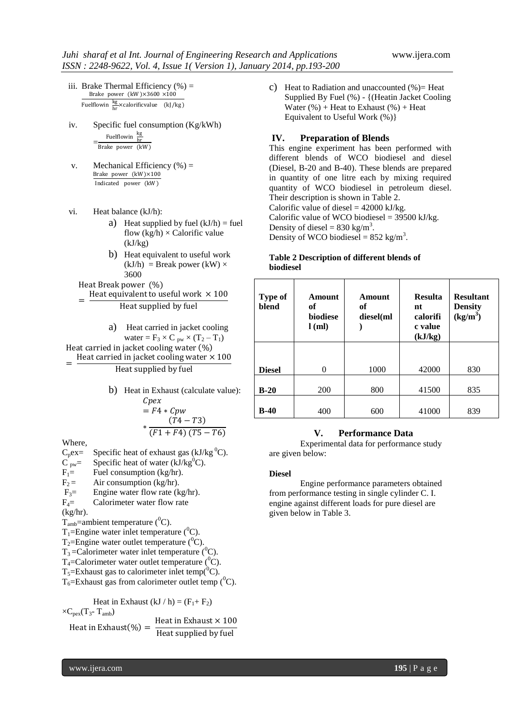- iii. Brake Thermal Efficiency  $(\%) =$ Brake power (kW) $\times3600\times100$ Fuelflowin  $\frac{\text{kg}}{\text{hr}}\times$ calorificvalue (kJ/kg)
- iv. Specific fuel consumption (Kg/kWh)  $=\frac{\text{Fuelflowin}}{\text{Burla}}$ Brake power (kW )
- v. Mechanical Efficiency  $(\%) =$ Brake power (kW )×100 Indicated power (kW )
- vi. Heat balance (kJ/h):
	- a) Heat supplied by fuel  $(kJ/h)$  = fuel flow  $(kg/h) \times$  Calorific value  $(kJ/kg)$
	- b) Heat equivalent to useful work  $(kJ/h)$  = Break power  $(kW)$   $\times$ 3600
	- Heat Break power (%)
	- = Heat equivalent to useful work  $\times$  100 Heat supplied by fuel

a) Heat carried in jacket cooling  
water = 
$$
F_3 \times C_{pw} \times (T_2 - T_1)
$$

Heat carried in jacket cooling water  $(\%)$ Heat carried in jacket cooling water  $\times$  100

# Heat supplied by fuel

b) Heat in Exhaust (calculate value):  
\n
$$
C\rho ex
$$
\n
$$
= F4 * C\rho w
$$
\n
$$
* \frac{(T4 - T3)}{(F1 + F4) (T5 - T6)}
$$

Where,

=

 $C_p$ ex= Specific heat of exhaust gas (kJ/kg<sup>0</sup>C).  $C_{\text{pw}} =$  Specific heat of water (kJ/kg<sup>0</sup>C).  $F_1=$  Fuel consumption (kg/hr).<br> $F_2=$  Air consumption (kg/hr). Air consumption (kg/hr).  $F_3$ = Engine water flow rate (kg/hr).

 $F_4$ = Calorimeter water flow rate

(kg/hr).

 $T_{amb}$ =ambient temperature ( $^0C$ ).

T<sub>1</sub>=Engine water inlet temperature  $(^0C)$ .

T<sub>2</sub>=Engine water outlet temperature  $({}^{0}C)$ .

 $T_3$ =Calorimeter water inlet temperature ( ${}^{0}C$ ).

T<sub>4</sub>=Calorimeter water outlet temperature  $(^{0}C)$ .

 $T_5$ =Exhaust gas to calorimeter inlet temp(<sup>0</sup>C).

 $T_6$ =Exhaust gas from calorimeter outlet temp ( ${}^{0}C$ ).

Heat in Exhaust  $(kJ / h) = (F_1 + F_2)$  $\times C_{\text{next}}(T_3 - T_{\text{amb}})$ Heat in Exhaust  $\left(\% \right) = \frac{\text{Heat in Erhaust} \times 100}{\text{Heat would be feel}}$ Heat supplied by fuel

c) Heat to Radiation and unaccounted (%)= Heat Supplied By Fuel (%) - {(Heatin Jacket Cooling Water  $(\%)$  + Heat to Exhaust  $(\%)$  + Heat Equivalent to Useful Work (%)}

# **IV. Preparation of Blends**

This engine experiment has been performed with different blends of WCO biodiesel and diesel (Diesel, B-20 and B-40). These blends are prepared in quantity of one litre each by mixing required quantity of WCO biodiesel in petroleum diesel. Their description is shown in Table 2. Calorific value of diesel  $= 42000 \text{ kJ/kg}$ . Calorific value of WCO biodiesel =  $39500$  kJ/kg. Density of diesel =  $830 \text{ kg/m}^3$ . Density of WCO biodiesel =  $852 \text{ kg/m}^3$ .

# **Table 2 Description of different blends of biodiesel**

| <b>Type of</b><br>blend | Amount<br>of<br><b>biodiese</b><br>$l$ (ml) | Amount<br>оf<br>diesel(ml | <b>Resulta</b><br>nt<br>calorifi<br>c value<br>(kJ/kg) | <b>Resultant</b><br><b>Density</b><br>$(kg/m^3)$ |
|-------------------------|---------------------------------------------|---------------------------|--------------------------------------------------------|--------------------------------------------------|
| <b>Diesel</b>           | $\Omega$                                    | 1000                      | 42000                                                  | 830                                              |
|                         |                                             |                           |                                                        |                                                  |
| $B-20$                  | <b>200</b>                                  | 800                       | 41500                                                  | 835                                              |
| $B-40$                  | 400                                         | 600                       | 41000                                                  | 839                                              |

# **V. Performance Data**

Experimental data for performance study are given below:

#### **Diesel**

Engine performance parameters obtained from performance testing in single cylinder C. I. engine against different loads for pure diesel are given below in Table 3.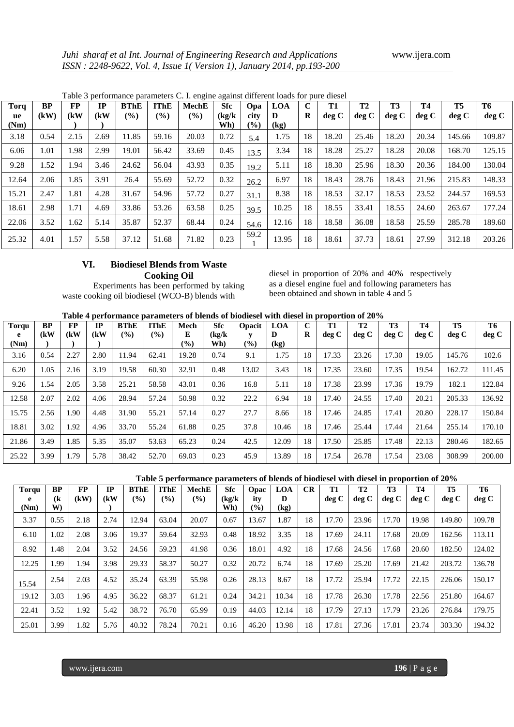| <b>Torq</b> | <b>BP</b> | <b>FP</b> | IP   | <b>BThE</b> | <b>IThE</b> | <b>MechE</b> | <b>Sfc</b>    | Opa            | <b>LOA</b> | $\mathbf C$ | <b>T1</b> | T2    | <b>T3</b> | <b>T4</b> | <b>T5</b> | T6     |
|-------------|-----------|-----------|------|-------------|-------------|--------------|---------------|----------------|------------|-------------|-----------|-------|-----------|-----------|-----------|--------|
| ue<br>(Nm)  | (kW)      | (kW       | (kW) | $($ %)      | $(\%)$      | $(\%)$       | (kg/k)<br>Wh) | city<br>$($ %) | D<br>(kg)  | R           | deg C     | deg C | deg C     | deg C     | deg C     | deg C  |
| 3.18        | 0.54      | 2.15      | 2.69 | 11.85       | 59.16       | 20.03        | 0.72          | 5.4            | 1.75       | 18          | 18.20     | 25.46 | 18.20     | 20.34     | 145.66    | 109.87 |
| 6.06        | 1.01      | 1.98      | 2.99 | 19.01       | 56.42       | 33.69        | 0.45          | 13.5           | 3.34       | 18          | 18.28     | 25.27 | 18.28     | 20.08     | 168.70    | 125.15 |
| 9.28        | l.52      | 1.94      | 3.46 | 24.62       | 56.04       | 43.93        | 0.35          | 19.2           | 5.11       | 18          | 18.30     | 25.96 | 18.30     | 20.36     | 184.00    | 130.04 |
| 12.64       | 2.06      | 1.85      | 3.91 | 26.4        | 55.69       | 52.72        | 0.32          | 26.2           | 6.97       | 18          | 18.43     | 28.76 | 18.43     | 21.96     | 215.83    | 148.33 |
| 15.21       | 2.47      | 1.81      | 4.28 | 31.67       | 54.96       | 57.72        | 0.27          | 31.1           | 8.38       | 18          | 18.53     | 32.17 | 18.53     | 23.52     | 244.57    | 169.53 |
| 18.61       | 2.98      | 1.71      | 4.69 | 33.86       | 53.26       | 63.58        | 0.25          | 39.5           | 10.25      | 18          | 18.55     | 33.41 | 18.55     | 24.60     | 263.67    | 177.24 |
| 22.06       | 3.52      | 1.62      | 5.14 | 35.87       | 52.37       | 68.44        | 0.24          | 54.6           | 12.16      | 18          | 18.58     | 36.08 | 18.58     | 25.59     | 285.78    | 189.60 |
| 25.32       | 4.01      | 1.57      | 5.58 | 37.12       | 51.68       | 71.82        | 0.23          | 59.2           | 13.95      | 18          | 18.61     | 37.73 | 18.61     | 27.99     | 312.18    | 203.26 |

Table 3 performance parameters C. I. engine against different loads for pure diesel

# **VI. Biodiesel Blends from Waste Cooking Oil**

Experiments has been performed by taking waste cooking oil biodiesel (WCO-B) blends with

diesel in proportion of 20% and 40% respectively as a diesel engine fuel and following parameters has been obtained and shown in table 4 and 5

| <b>Torqu</b><br>e | <b>BP</b><br>(kW) | <b>FP</b><br>(kW | <b>IP</b><br>(kW) | <b>BThE</b><br>(%) | <b>TThE</b><br>(%) | Mech<br>E      | <b>Sfc</b><br>(kg/k) | Opacit | LOA<br>D                    | C<br>R | <b>T1</b><br>deg C | <b>T2</b><br>deg C | T <sub>3</sub><br>deg C | <b>T4</b><br>deg C | <b>T5</b><br>deg C | T6<br>deg C |
|-------------------|-------------------|------------------|-------------------|--------------------|--------------------|----------------|----------------------|--------|-----------------------------|--------|--------------------|--------------------|-------------------------|--------------------|--------------------|-------------|
| (Nm)              |                   |                  |                   |                    |                    | $\binom{0}{0}$ | Wh)                  | $(\%)$ | $\left( \mathrm{kg}\right)$ |        |                    |                    |                         |                    |                    |             |
| 3.16              | 0.54              | 2.27             | 2.80              | 11.94              | 62.41              | 19.28          | 0.74                 | 9.1    | 1.75                        | 18     | 17.33              | 23.26              | 17.30                   | 19.05              | 145.76             | 102.6       |
| 6.20              | 1.05              | 2.16             | 3.19              | 19.58              | 60.30              | 32.91          | 0.48                 | 13.02  | 3.43                        | 18     | 17.35              | 23.60              | 17.35                   | 19.54              | 162.72             | 111.45      |
| 9.26              | .54               | 2.05             | 3.58              | 25.21              | 58.58              | 43.01          | 0.36                 | 16.8   | 5.11                        | 18     | 17.38              | 23.99              | 17.36                   | 19.79              | 182.1              | 122.84      |
| 12.58             | 2.07              | 2.02             | 4.06              | 28.94              | 57.24              | 50.98          | 0.32                 | 22.2   | 6.94                        | 18     | 17.40              | 24.55              | 17.40                   | 20.21              | 205.33             | 136.92      |
| 15.75             | 2.56              | .90              | 4.48              | 31.90              | 55.21              | 57.14          | 0.27                 | 27.7   | 8.66                        | 18     | 17.46              | 24.85              | 17.41                   | 20.80              | 228.17             | 150.84      |
| 18.81             | 3.02              | .92              | 4.96              | 33.70              | 55.24              | 61.88          | 0.25                 | 37.8   | 10.46                       | 18     | 17.46              | 25.44              | 17.44                   | 21.64              | 255.14             | 170.10      |
| 21.86             | 3.49              | .85              | 5.35              | 35.07              | 53.63              | 65.23          | 0.24                 | 42.5   | 12.09                       | 18     | 17.50              | 25.85              | 17.48                   | 22.13              | 280.46             | 182.65      |
| 25.22             | 3.99              | . . 79           | 5.78              | 38.42              | 52.70              | 69.03          | 0.23                 | 45.9   | 13.89                       | 18     | 17.54              | 26.78              | 17.54                   | 23.08              | 308.99             | 200.00      |

**Table 5 performance parameters of blends of biodiesel with diesel in proportion of 20%**

| Torqu<br>e<br>(Nm) | <b>BP</b><br>(k<br>W) | <b>FP</b><br>(kW) | $_{\rm IP}$<br>(kW) | <b>BThE</b><br>(%) | <b>IThE</b><br>(%) | MechE<br>$($ %) | Sfc<br>(kg/k)<br>Wh) | Opac<br>ity<br>$\left( \frac{0}{0} \right)$ | <b>LOA</b><br>D<br>(kg) | CR | T1<br>deg C | T2<br>deg C | T <sub>3</sub><br>deg C | <b>T4</b><br>deg C | T5<br>deg C | T6<br>deg C |
|--------------------|-----------------------|-------------------|---------------------|--------------------|--------------------|-----------------|----------------------|---------------------------------------------|-------------------------|----|-------------|-------------|-------------------------|--------------------|-------------|-------------|
| 3.37               | 0.55                  | 2.18              | 2.74                | 12.94              | 63.04              | 20.07           | 0.67                 | 13.67                                       | 1.87                    | 18 | 17.70       | 23.96       | 17.70                   | 19.98              | 149.80      | 109.78      |
| 6.10               | 1.02                  | 2.08              | 3.06                | 19.37              | 59.64              | 32.93           | 0.48                 | 18.92                                       | 3.35                    | 18 | 17.69       | 24.11       | 17.68                   | 20.09              | 162.56      | 113.11      |
| 8.92               | 1.48                  | 2.04              | 3.52                | 24.56              | 59.23              | 41.98           | 0.36                 | 18.01                                       | 4.92                    | 18 | 17.68       | 24.56       | 17.68                   | 20.60              | 182.50      | 124.02      |
| 12.25              | 1.99                  | 1.94              | 3.98                | 29.33              | 58.37              | 50.27           | 0.32                 | 20.72                                       | 6.74                    | 18 | 17.69       | 25.20       | 17.69                   | 21.42              | 203.72      | 136.78      |
| 15.54              | 2.54                  | 2.03              | 4.52                | 35.24              | 63.39              | 55.98           | 0.26                 | 28.13                                       | 8.67                    | 18 | 17.72       | 25.94       | 17.72                   | 22.15              | 226.06      | 150.17      |
| 19.12              | 3.03                  | 1.96              | 4.95                | 36.22              | 68.37              | 61.21           | 0.24                 | 34.21                                       | 10.34                   | 18 | 17.78       | 26.30       | 17.78                   | 22.56              | 251.80      | 164.67      |
| 22.41              | 3.52                  | 1.92              | 5.42                | 38.72              | 76.70              | 65.99           | 0.19                 | 44.03                                       | 12.14                   | 18 | 17.79       | 27.13       | 17.79                   | 23.26              | 276.84      | 179.75      |
| 25.01              | 3.99                  | 1.82              | 5.76                | 40.32              | 78.24              | 70.21           | 0.16                 | 46.20                                       | 13.98                   | 18 | 17.81       | 27.36       | 17.81                   | 23.74              | 303.30      | 194.32      |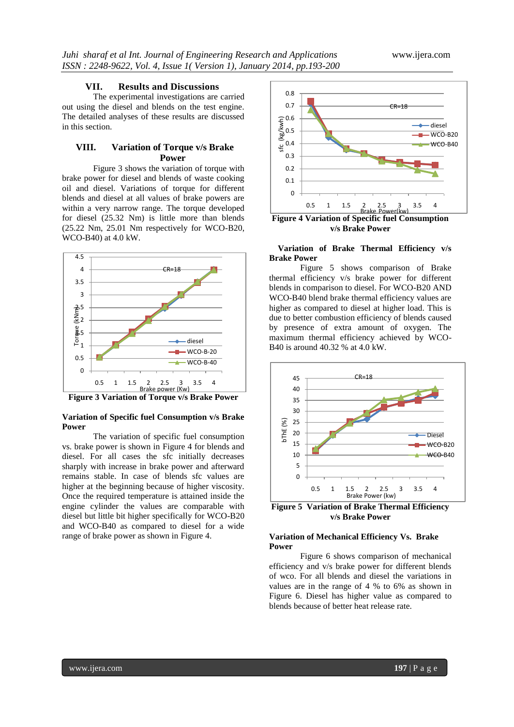#### **VII. Results and Discussions**

The experimental investigations are carried out using the diesel and blends on the test engine. The detailed analyses of these results are discussed in this section.

# **VIII. Variation of Torque v/s Brake Power**

Figure 3 shows the variation of torque with brake power for diesel and blends of waste cooking oil and diesel. Variations of torque for different blends and diesel at all values of brake powers are within a very narrow range. The torque developed for diesel (25.32 Nm) is little more than blends (25.22 Nm, 25.01 Nm respectively for WCO-B20, WCO-B40) at 4.0 kW.



**Figure 3 Variation of Torque v/s Brake Power**

### **Variation of Specific fuel Consumption v/s Brake Power**

The variation of specific fuel consumption vs. brake power is shown in Figure 4 for blends and diesel. For all cases the sfc initially decreases sharply with increase in brake power and afterward remains stable. In case of blends sfc values are higher at the beginning because of higher viscosity. Once the required temperature is attained inside the engine cylinder the values are comparable with diesel but little bit higher specifically for WCO-B20 and WCO-B40 as compared to diesel for a wide range of brake power as shown in Figure 4.



**v/s Brake Power**

### **Variation of Brake Thermal Efficiency v/s Brake Power**

Figure 5 shows comparison of Brake thermal efficiency v/s brake power for different blends in comparison to diesel. For WCO-B20 AND WCO-B40 blend brake thermal efficiency values are higher as compared to diesel at higher load. This is due to better combustion efficiency of blends caused by presence of extra amount of oxygen. The maximum thermal efficiency achieved by WCO-B40 is around 40.32 % at 4.0 kW.



**Figure 5 Variation of Brake Thermal Efficiency v/s Brake Power**

# **Variation of Mechanical Efficiency Vs. Brake Power**

Figure 6 shows comparison of mechanical efficiency and v/s brake power for different blends of wco. For all blends and diesel the variations in values are in the range of 4 % to 6% as shown in Figure 6. Diesel has higher value as compared to blends because of better heat release rate.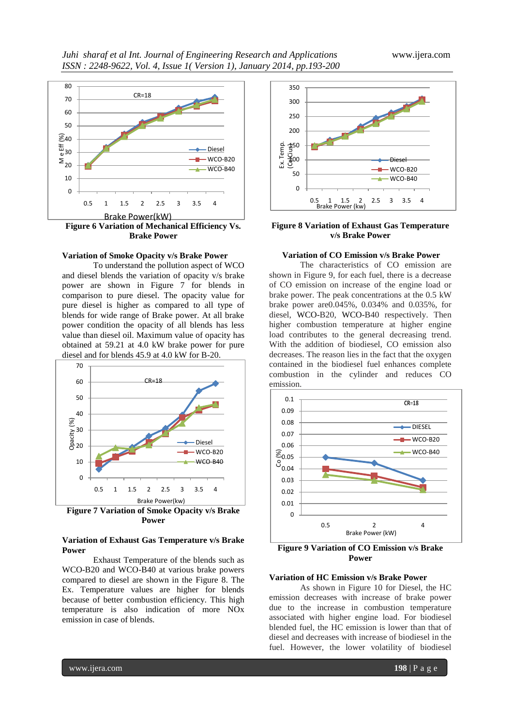

# **Variation of Smoke Opacity v/s Brake Power**

To understand the pollution aspect of WCO and diesel blends the variation of opacity v/s brake power are shown in Figure 7 for blends in comparison to pure diesel. The opacity value for pure diesel is higher as compared to all type of blends for wide range of Brake power. At all brake power condition the opacity of all blends has less value than diesel oil. Maximum value of opacity has obtained at 59.21 at 4.0 kW brake power for pure diesel and for blends 45.9 at 4.0 kW for B-20.



**Figure 7 Variation of Smoke Opacity v/s Brake Power**

#### **Variation of Exhaust Gas Temperature v/s Brake Power**

Exhaust Temperature of the blends such as WCO-B20 and WCO-B40 at various brake powers compared to diesel are shown in the Figure 8. The Ex. Temperature values are higher for blends because of better combustion efficiency. This high temperature is also indication of more NOx emission in case of blends.



#### **Figure 8 Variation of Exhaust Gas Temperature v/s Brake Power**

# **Variation of CO Emission v/s Brake Power**

The characteristics of CO emission are shown in Figure 9, for each fuel, there is a decrease of CO emission on increase of the engine load or brake power. The peak concentrations at the 0.5 kW brake power are0.045%, 0.034% and 0.035%, for diesel, WCO-B20, WCO-B40 respectively. Then higher combustion temperature at higher engine load contributes to the general decreasing trend. With the addition of biodiesel, CO emission also decreases. The reason lies in the fact that the oxygen contained in the biodiesel fuel enhances complete combustion in the cylinder and reduces CO emission.



**Figure 9 Variation of CO Emission v/s Brake Power**

#### **Variation of HC Emission v/s Brake Power**

As shown in Figure 10 for Diesel, the HC emission decreases with increase of brake power due to the increase in combustion temperature associated with higher engine load. For biodiesel blended fuel, the HC emission is lower than that of diesel and decreases with increase of biodiesel in the fuel. However, the lower volatility of biodiesel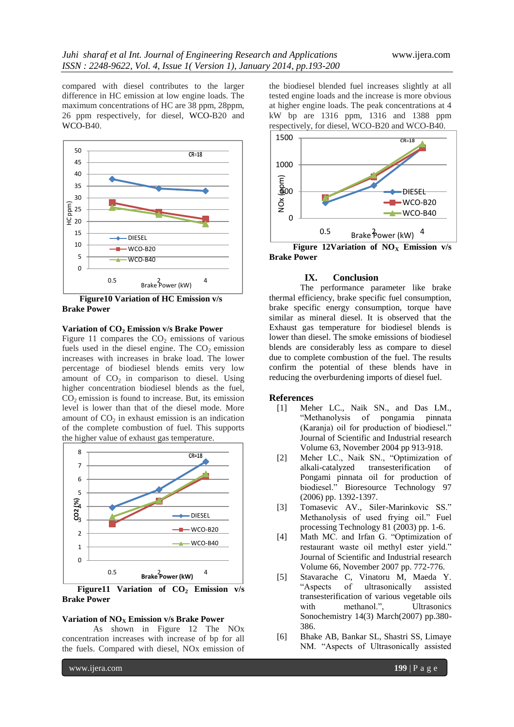compared with diesel contributes to the larger difference in HC emission at low engine loads. The maximum concentrations of HC are 38 ppm, 28ppm, 26 ppm respectively, for diesel, WCO-B20 and WCO-B40.



 **Figure10 Variation of HC Emission v/s Brake Power**

#### **Variation of CO<sup>2</sup> Emission v/s Brake Power**

Figure 11 compares the  $CO<sub>2</sub>$  emissions of various fuels used in the diesel engine. The  $CO<sub>2</sub>$  emission increases with increases in brake load. The lower percentage of biodiesel blends emits very low amount of  $CO<sub>2</sub>$  in comparison to diesel. Using higher concentration biodiesel blends as the fuel,  $CO<sub>2</sub>$  emission is found to increase. But, its emission level is lower than that of the diesel mode. More amount of  $CO<sub>2</sub>$  in exhaust emission is an indication of the complete combustion of fuel. This supports the higher value of exhaust gas temperature.



 **Figure11 Variation of CO<sup>2</sup> Emission v/s Brake Power**

#### **Variation of NO<sup>X</sup> Emission v/s Brake Power**

As shown in Figure 12 The NOx concentration increases with increase of bp for all the fuels. Compared with diesel, NOx emission of the biodiesel blended fuel increases slightly at all tested engine loads and the increase is more obvious at higher engine loads. The peak concentrations at 4 kW bp are 1316 ppm, 1316 and 1388 ppm respectively, for diesel, WCO-B20 and WCO-B40.



**Brake Power**

# **IX. Conclusion**

The performance parameter like brake thermal efficiency, brake specific fuel consumption, brake specific energy consumption, torque have similar as mineral diesel. It is observed that the Exhaust gas temperature for biodiesel blends is lower than diesel. The smoke emissions of biodiesel blends are considerably less as compare to diesel due to complete combustion of the fuel. The results confirm the potential of these blends have in reducing the overburdening imports of diesel fuel.

### **References**

- [1] Meher LC., Naik SN., and Das LM., "Methanolysis of pongamia pinnata (Karanja) oil for production of biodiesel." Journal of Scientific and Industrial research Volume 63, November 2004 pp 913-918.
- [2] Meher LC., Naik SN., "Optimization of alkali-catalyzed transesterification of Pongami pinnata oil for production of biodiesel." Bioresource Technology 97 (2006) pp. 1392-1397.
- [3] Tomasevic AV., Siler-Marinkovic SS." Methanolysis of used frying oil." Fuel processing Technology 81 (2003) pp. 1-6.
- [4] Math MC. and Irfan G. "Optimization of restaurant waste oil methyl ester yield." Journal of Scientific and Industrial research Volume 66, November 2007 pp. 772-776.
- [5] Stavarache C, Vinatoru M, Maeda Y. "Aspects of ultrasonically assisted transesterification of various vegetable oils with methanol.", Ultrasonics Sonochemistry 14(3) March(2007) pp.380- 386.
- [6] Bhake AB, Bankar SL, Shastri SS, Limaye NM. "Aspects of Ultrasonically assisted